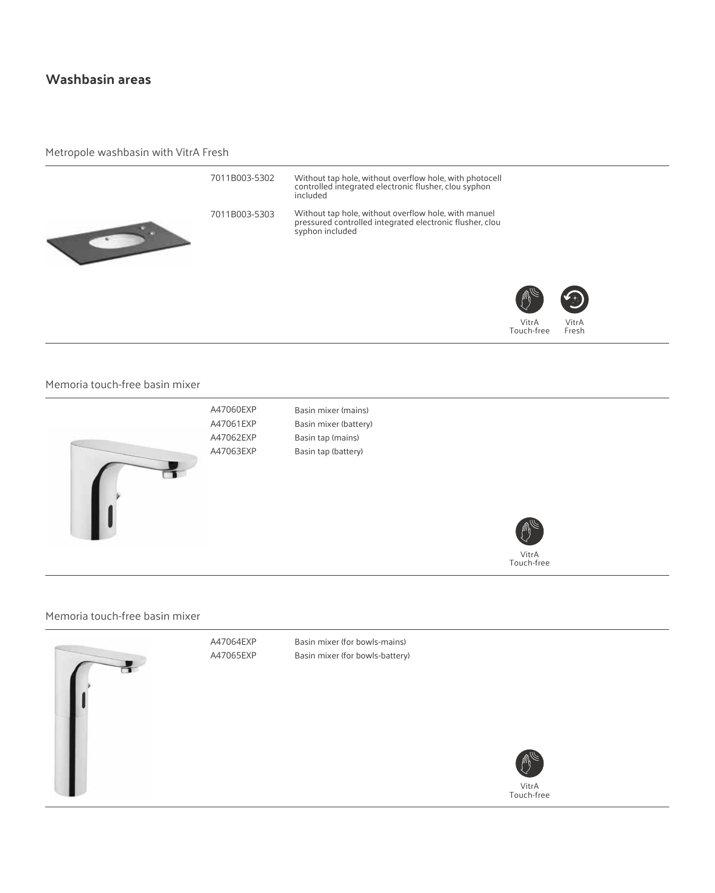# **Washbasin areas**

#### Metropole washbasin with VitrA Fresh



#### Memoria touch-free basin mixer



Basin mixer (mains) Basin mixer (battery) Basin tap (mains) Basin tap (battery)



Memoria touch-free basin mixer

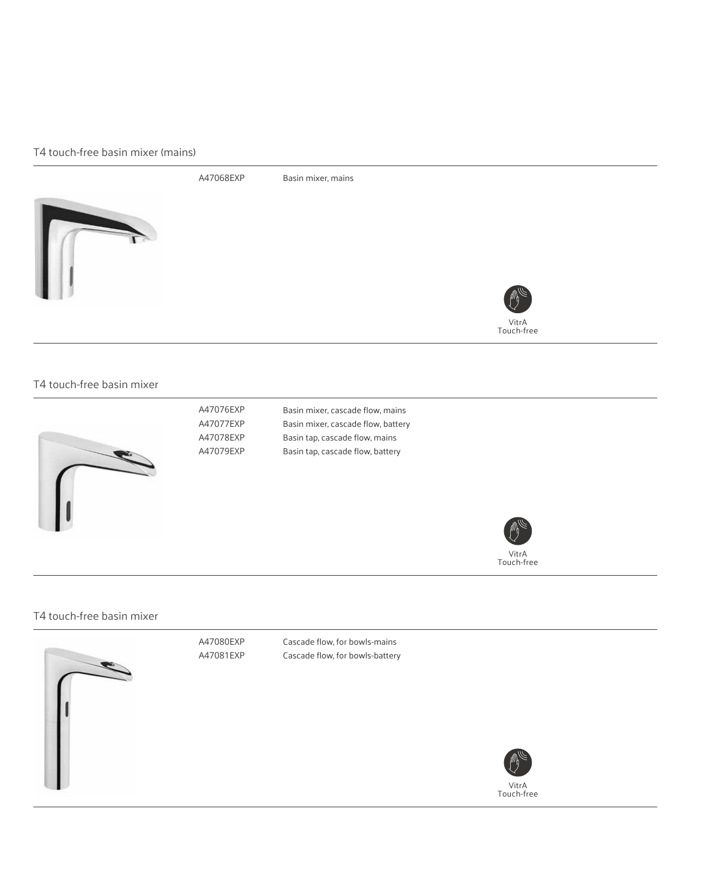#### T4 touch-free basin mixer (mains)



### T4 touch-free basin mixer



A47076EXP A47077EXP A47078EXP A47079EXP Basin mixer, cascade flow, mains Basin mixer, cascade flow, battery Basin tap, cascade flow, mains Basin tap, cascade flow, battery



#### T4 touch-free basin mixer